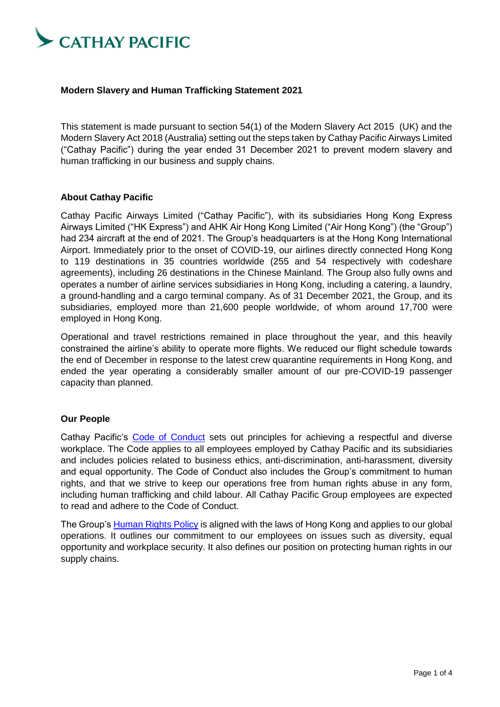

### **Modern Slavery and Human Trafficking Statement 2021**

This statement is made pursuant to section 54(1) of the Modern Slavery Act 2015 (UK) and the Modern Slavery Act 2018 (Australia) setting out the steps taken by Cathay Pacific Airways Limited ("Cathay Pacific") during the year ended 31 December 2021 to prevent modern slavery and human trafficking in our business and supply chains.

#### **About Cathay Pacific**

Cathay Pacific Airways Limited ("Cathay Pacific"), with its subsidiaries Hong Kong Express Airways Limited ("HK Express") and AHK Air Hong Kong Limited ("Air Hong Kong") (the "Group") had 234 aircraft at the end of 2021. The Group's headquarters is at the Hong Kong International Airport. Immediately prior to the onset of COVID-19, our airlines directly connected Hong Kong to 119 destinations in 35 countries worldwide (255 and 54 respectively with codeshare agreements), including 26 destinations in the Chinese Mainland. The Group also fully owns and operates a number of airline services subsidiaries in Hong Kong, including a catering, a laundry, a ground-handling and a cargo terminal company. As of 31 December 2021, the Group, and its subsidiaries, employed more than 21,600 people worldwide, of whom around 17,700 were employed in Hong Kong.

Operational and travel restrictions remained in place throughout the year, and this heavily constrained the airline's ability to operate more flights. We reduced our flight schedule towards the end of December in response to the latest crew quarantine requirements in Hong Kong, and ended the year operating a considerably smaller amount of our pre-COVID-19 passenger capacity than planned.

# **Our People**

Cathay Pacific's [Code of Conduct](https://www.cathaypacific.com/content/dam/focal-point/cx/about-us/responsible-business/cx-code-of-conduct-2019.pdf) sets out principles for achieving a respectful and diverse workplace. The Code applies to all employees employed by Cathay Pacific and its subsidiaries and includes policies related to business ethics, anti-discrimination, anti-harassment, diversity and equal opportunity. The Code of Conduct also includes the Group's commitment to human rights, and that we strive to keep our operations free from human rights abuse in any form, including human trafficking and child labour. All Cathay Pacific Group employees are expected to read and adhere to the Code of Conduct.

The Group's [Human Rights Policy](https://www.cathaypacific.com/content/dam/focal-point/cx/about-us/responsible-business/Cathay-Pacific-Airways-Limited_Human-Rights-Policy.pdf) is aligned with the laws of Hong Kong and applies to our global operations. It outlines our commitment to our employees on issues such as diversity, equal opportunity and workplace security. It also defines our position on protecting human rights in our supply chains.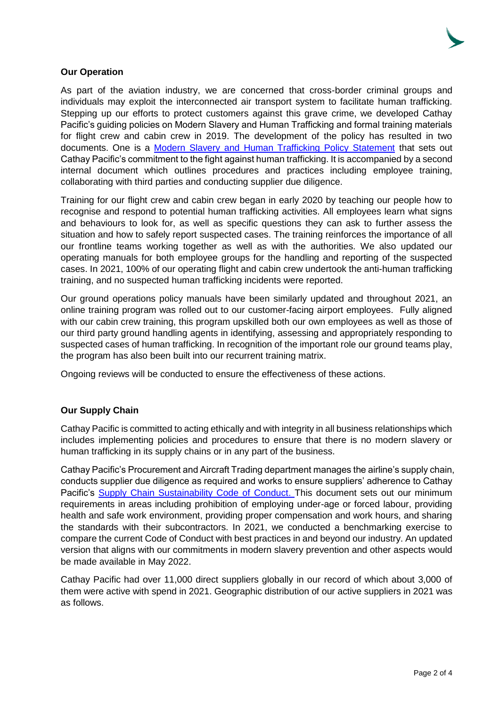# **Our Operation**

As part of the aviation industry, we are concerned that cross-border criminal groups and individuals may exploit the interconnected air transport system to facilitate human trafficking. Stepping up our efforts to protect customers against this grave crime, we developed Cathay Pacific's guiding policies on Modern Slavery and Human Trafficking and formal training materials for flight crew and cabin crew in 2019. The development of the policy has resulted in two documents. One is a [Modern Slavery and Human Trafficking Policy Statement](https://www.cathaypacific.com/content/dam/focal-point/cx/about-us/responsible-business/Cathay-Pacific_Modern-Slavery-and-Human-Trafficking-Policy-Statement.pdf) that sets out Cathay Pacific's commitment to the fight against human trafficking. It is accompanied by a second internal document which outlines procedures and practices including employee training, collaborating with third parties and conducting supplier due diligence.

Training for our flight crew and cabin crew began in early 2020 by teaching our people how to recognise and respond to potential human trafficking activities. All employees learn what signs and behaviours to look for, as well as specific questions they can ask to further assess the situation and how to safely report suspected cases. The training reinforces the importance of all our frontline teams working together as well as with the authorities. We also updated our operating manuals for both employee groups for the handling and reporting of the suspected cases. In 2021, 100% of our operating flight and cabin crew undertook the anti-human trafficking training, and no suspected human trafficking incidents were reported.

Our ground operations policy manuals have been similarly updated and throughout 2021, an online training program was rolled out to our customer-facing airport employees. Fully aligned with our cabin crew training, this program upskilled both our own employees as well as those of our third party ground handling agents in identifying, assessing and appropriately responding to suspected cases of human trafficking. In recognition of the important role our ground teams play, the program has also been built into our recurrent training matrix.

Ongoing reviews will be conducted to ensure the effectiveness of these actions.

# **Our Supply Chain**

Cathay Pacific is committed to acting ethically and with integrity in all business relationships which includes implementing policies and procedures to ensure that there is no modern slavery or human trafficking in its supply chains or in any part of the business.

Cathay Pacific's Procurement and Aircraft Trading department manages the airline's supply chain, conducts supplier due diligence as required and works to ensure suppliers' adherence to Cathay Pacific's [Supply Chain Sustainability Code of Conduct.](https://www.cathaypacific.com/content/dam/cx/about-us/environment/PDF/CSR_Code_of_Conduct_EN.pdf) This document sets out our minimum requirements in areas including prohibition of employing under-age or forced labour, providing health and safe work environment, providing proper compensation and work hours, and sharing the standards with their subcontractors. In 2021, we conducted a benchmarking exercise to compare the current Code of Conduct with best practices in and beyond our industry. An updated version that aligns with our commitments in modern slavery prevention and other aspects would be made available in May 2022.

Cathay Pacific had over 11,000 direct suppliers globally in our record of which about 3,000 of them were active with spend in 2021. Geographic distribution of our active suppliers in 2021 was as follows.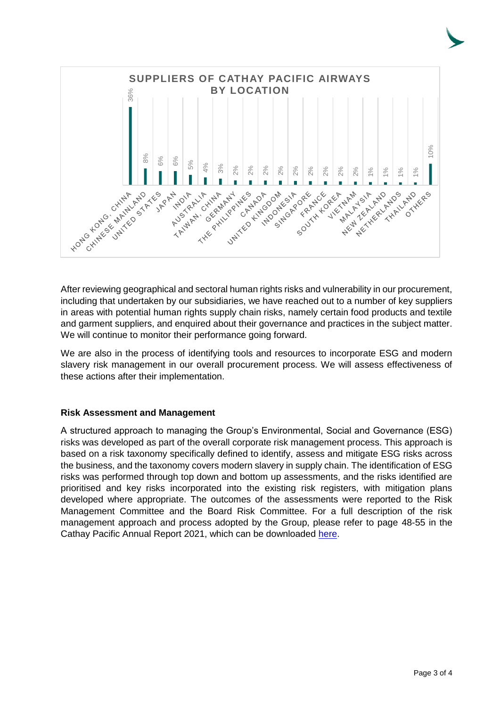

After reviewing geographical and sectoral human rights risks and vulnerability in our procurement, including that undertaken by our subsidiaries, we have reached out to a number of key suppliers in areas with potential human rights supply chain risks, namely certain food products and textile and garment suppliers, and enquired about their governance and practices in the subject matter. We will continue to monitor their performance going forward.

We are also in the process of identifying tools and resources to incorporate ESG and modern slavery risk management in our overall procurement process. We will assess effectiveness of these actions after their implementation.

# **Risk Assessment and Management**

A structured approach to managing the Group's Environmental, Social and Governance (ESG) risks was developed as part of the overall corporate risk management process. This approach is based on a risk taxonomy specifically defined to identify, assess and mitigate ESG risks across the business, and the taxonomy covers modern slavery in supply chain. The identification of ESG risks was performed through top down and bottom up assessments, and the risks identified are prioritised and key risks incorporated into the existing risk registers, with mitigation plans developed where appropriate. The outcomes of the assessments were reported to the Risk Management Committee and the Board Risk Committee. For a full description of the risk management approach and process adopted by the Group, please refer to page 48-55 in the